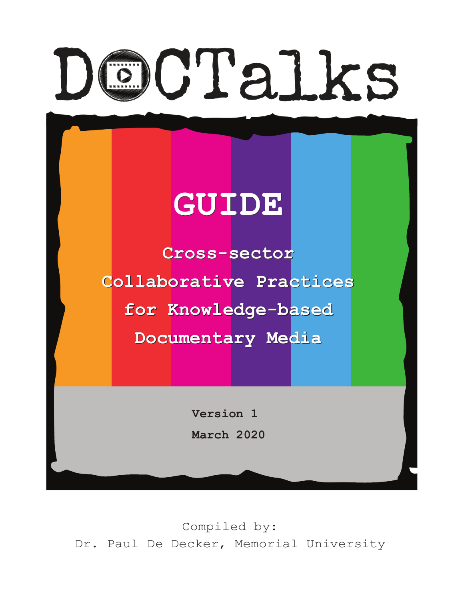# CTalks

# **GUIDE GUIDE**

**Cross-sector Cross-sector Collaborative Practices for Knowledge-based Collaborative Practicesfor Knowledge-based Documentary Media Documentary Media**

> **Version 1 March 2020**

Compiled by: Dr. Paul De Decker, Memorial University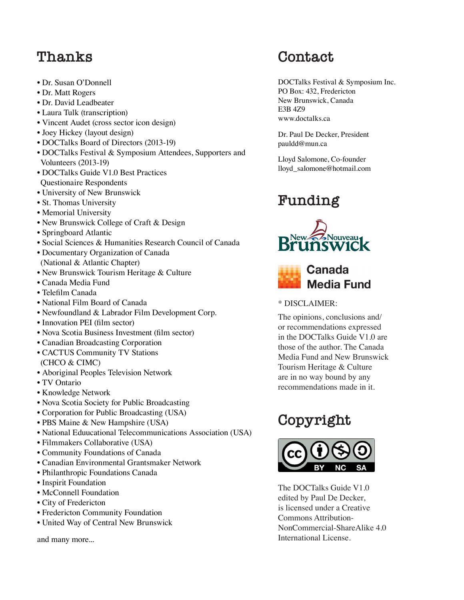# **Thanks**

- Dr. Susan O'Donnell
- Dr. Matt Rogers
- Dr. David Leadbeater
- Laura Tulk (transcription)
- Vincent Audet (cross sector icon design)
- Joey Hickey (layout design)
- DOCTalks Board of Directors (2013-19)
- DOCTalks Festival & Symposium Attendees, Supporters and Volunteers (2013-19)
- DOCTalks Guide V1.0 Best Practices
- Questionaire Respondents
- University of New Brunswick
- St. Thomas University
- Memorial University
- New Brunswick College of Craft & Design
- Springboard Atlantic
- Social Sciences & Humanities Research Council of Canada
- Documentary Organization of Canada (National & Atlantic Chapter)
- New Brunswick Tourism Heritage & Culture
- Canada Media Fund
- Telefilm Canada
- National Film Board of Canada
- Newfoundland & Labrador Film Development Corp.
- Innovation PEI (film sector)
- Nova Scotia Business Investment (film sector)
- Canadian Broadcasting Corporation
- CACTUS Community TV Stations (CHCO & CIMC)
- Aboriginal Peoples Television Network
- TV Ontario
- Knowledge Network
- Nova Scotia Society for Public Broadcasting
- Corporation for Public Broadcasting (USA)
- PBS Maine & New Hampshire (USA)
- National Eduucational Telecommunications Association (USA)
- Filmmakers Collaborative (USA)
- Community Foundations of Canada
- Canadian Environmental Grantsmaker Network
- Philanthropic Foundations Canada
- Inspirit Foundation
- McConnell Foundation
- City of Fredericton
- Fredericton Community Foundation
- United Way of Central New Brunswick

and many more...

# **Contact**

DOCTalks Festival & Symposium Inc. PO Box: 432, Fredericton New Brunswick, Canada E3B 4Z9 www.doctalks.ca

Dr. Paul De Decker, President pauldd@mun.ca

Lloyd Salomone, Co-founder lloyd\_salomone@hotmail.com

# **Funding**





#### \* DISCLAIMER:

The opinions, conclusions and/ or recommendations expressed in the DOCTalks Guide V1.0 are those of the author. The Canada Media Fund and New Brunswick Tourism Heritage & Culture are in no way bound by any recommendations made in it.

# **Copyright**



The DOCTalks Guide V1.0 edited by Paul De Decker, is licensed under a Creative Commons Attribution-NonCommercial-ShareAlike 4.0 International License.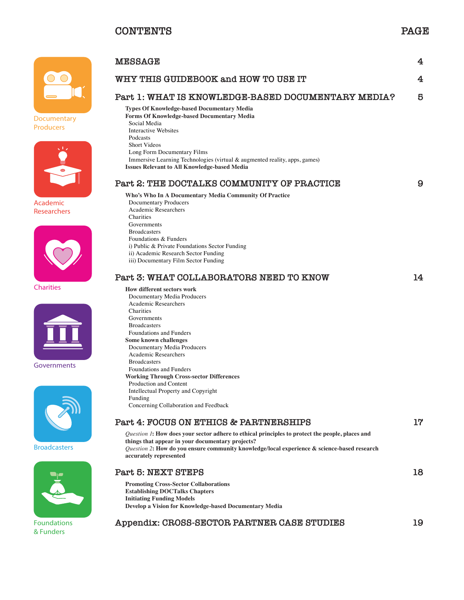

**Documentary Producers**



**Academic Researchers**



**Charities**



**Governments**



**Broadcasters**



**Foundations & Funders**

| <b>MESSAGE</b>                                                                                                                                                                                                                                                                                                                                                                                                                                                                                                                                                                                                                                                                                          | 4  |
|---------------------------------------------------------------------------------------------------------------------------------------------------------------------------------------------------------------------------------------------------------------------------------------------------------------------------------------------------------------------------------------------------------------------------------------------------------------------------------------------------------------------------------------------------------------------------------------------------------------------------------------------------------------------------------------------------------|----|
| WHY THIS GUIDEBOOK and HOW TO USE IT                                                                                                                                                                                                                                                                                                                                                                                                                                                                                                                                                                                                                                                                    | 4  |
| Part 1: WHAT IS KNOWLEDGE-BASED DOCUMENTARY MEDIA?                                                                                                                                                                                                                                                                                                                                                                                                                                                                                                                                                                                                                                                      | 5  |
| <b>Types Of Knowledge-based Documentary Media</b><br><b>Forms Of Knowledge-based Documentary Media</b><br>Social Media<br><b>Interactive Websites</b><br>Podcasts<br><b>Short Videos</b><br>Long Form Documentary Films<br>Immersive Learning Technologies (virtual & augmented reality, apps, games)<br><b>Issues Relevant to All Knowledge-based Media</b>                                                                                                                                                                                                                                                                                                                                            |    |
| Part 2: THE DOCTALKS COMMUNITY OF PRACTICE                                                                                                                                                                                                                                                                                                                                                                                                                                                                                                                                                                                                                                                              | 9  |
| Who's Who In A Documentary Media Community Of Practice<br><b>Documentary Producers</b><br><b>Academic Researchers</b><br>Charities<br>Governments<br><b>Broadcasters</b><br>Foundations & Funders<br>i) Public & Private Foundations Sector Funding<br>ii) Academic Research Sector Funding<br>iii) Documentary Film Sector Funding                                                                                                                                                                                                                                                                                                                                                                     |    |
| Part 3: WHAT COLLABORATORS NEED TO KNOW                                                                                                                                                                                                                                                                                                                                                                                                                                                                                                                                                                                                                                                                 | 14 |
| <b>How different sectors work</b><br>Documentary Media Producers<br><b>Academic Researchers</b><br>Charities<br>Governments<br><b>Broadcasters</b><br>Foundations and Funders<br>Some known challenges<br>Documentary Media Producers<br><b>Academic Researchers</b><br><b>Broadcasters</b><br>Foundations and Funders<br><b>Working Through Cross-sector Differences</b><br>Production and Content<br>Intellectual Property and Copyright<br>Funding<br>Concerning Collaboration and Feedback<br>Part 4: FOCUS ON ETHICS & PARTNERSHIPS<br><i>Question 1</i> : How does your sector adhere to ethical principles to protect the people, places and<br>things that appear in your documentary projects? | 17 |
| Question 2: How do you ensure community knowledge/local experience & science-based research<br>accurately represented                                                                                                                                                                                                                                                                                                                                                                                                                                                                                                                                                                                   |    |
| <b>Part 5: NEXT STEPS</b>                                                                                                                                                                                                                                                                                                                                                                                                                                                                                                                                                                                                                                                                               | 18 |
| <b>Promoting Cross-Sector Collaborations</b><br><b>Establishing DOCTalks Chapters</b><br><b>Initiating Funding Models</b><br>Develop a Vision for Knowledge-based Documentary Media                                                                                                                                                                                                                                                                                                                                                                                                                                                                                                                     |    |

**Appendix: CROSS-SECTOR PARTNER CASE STUDIES 19**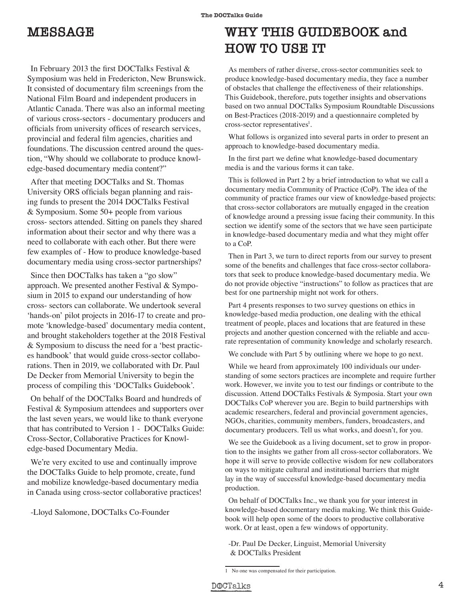# **MESSAGE**

In February 2013 the first DOCTalks Festival & Symposium was held in Fredericton, New Brunswick. It consisted of documentary film screenings from the National Film Board and independent producers in Atlantic Canada. There was also an informal meeting of various cross-sectors - documentary producers and officials from university offices of research services, provincial and federal film agencies, charities and foundations. The discussion centred around the question, "Why should we collaborate to produce knowledge-based documentary media content?"

After that meeting DOCTalks and St. Thomas University ORS officials began planning and raising funds to present the 2014 DOCTalks Festival & Symposium. Some 50+ people from various cross- sectors attended. Sitting on panels they shared information about their sector and why there was a need to collaborate with each other. But there were few examples of - How to produce knowledge-based documentary media using cross-sector partnerships?

Since then DOCTalks has taken a "go slow" approach. We presented another Festival & Symposium in 2015 to expand our understanding of how cross- sectors can collaborate. We undertook several 'hands-on' pilot projects in 2016-17 to create and promote 'knowledge-based' documentary media content, and brought stakeholders together at the 2018 Festival & Symposium to discuss the need for a 'best practices handbook' that would guide cross-sector collaborations. Then in 2019, we collaborated with Dr. Paul De Decker from Memorial University to begin the process of compiling this 'DOCTalks Guidebook'.

On behalf of the DOCTalks Board and hundreds of Festival & Symposium attendees and supporters over the last seven years, we would like to thank everyone that has contributed to Version 1 - DOCTalks Guide: Cross-Sector, Collaborative Practices for Knowledge-based Documentary Media.

We're very excited to use and continually improve the DOCTalks Guide to help promote, create, fund and mobilize knowledge-based documentary media in Canada using cross-sector collaborative practices!

-Lloyd Salomone, DOCTalks Co-Founder

# **WHY THIS GUIDEBOOK and HOW TO USE IT**

As members of rather diverse, cross-sector communities seek to produce knowledge-based documentary media, they face a number of obstacles that challenge the effectiveness of their relationships. This Guidebook, therefore, puts together insights and observations based on two annual DOCTalks Symposium Roundtable Discussions on Best-Practices (2018-2019) and a questionnaire completed by cross-sector representatives<sup>1</sup>.

What follows is organized into several parts in order to present an approach to knowledge-based documentary media.

In the first part we define what knowledge-based documentary media is and the various forms it can take.

This is followed in Part 2 by a brief introduction to what we call a documentary media Community of Practice (CoP). The idea of the community of practice frames our view of knowledge-based projects: that cross-sector collaborators are mutually engaged in the creation of knowledge around a pressing issue facing their community. In this section we identify some of the sectors that we have seen participate in knowledge-based documentary media and what they might offer to a CoP.

Then in Part 3, we turn to direct reports from our survey to present some of the benefits and challenges that face cross-sector collaborators that seek to produce knowledge-based documentary media. We do not provide objective "instructions" to follow as practices that are best for one partnership might not work for others.

Part 4 presents responses to two survey questions on ethics in knowledge-based media production, one dealing with the ethical treatment of people, places and locations that are featured in these projects and another question concerned with the reliable and accurate representation of community knowledge and scholarly research.

We conclude with Part 5 by outlining where we hope to go next.

While we heard from approximately 100 individuals our understanding of some sectors practices are incomplete and require further work. However, we invite you to test our findings or contribute to the discussion. Attend DOCTalks Festivals & Symposia. Start your own DOCTalks CoP wherever you are. Begin to build partnerships with academic researchers, federal and provincial government agencies, NGOs, charities, community members, funders, broadcasters, and documentary producers. Tell us what works, and doesn't, for you.

We see the Guidebook as a living document, set to grow in proportion to the insights we gather from all cross-sector collaborators. We hope it will serve to provide collective wisdom for new collaborators on ways to mitigate cultural and institutional barriers that might lay in the way of successful knowledge-based documentary media production.

On behalf of DOCTalks Inc., we thank you for your interest in knowledge-based documentary media making. We think this Guidebook will help open some of the doors to productive collaborative work. Or at least, open a few windows of opportunity.

-Dr. Paul De Decker, Linguist, Memorial University & DOCTalks President

<sup>1</sup> No one was compensated for their participation.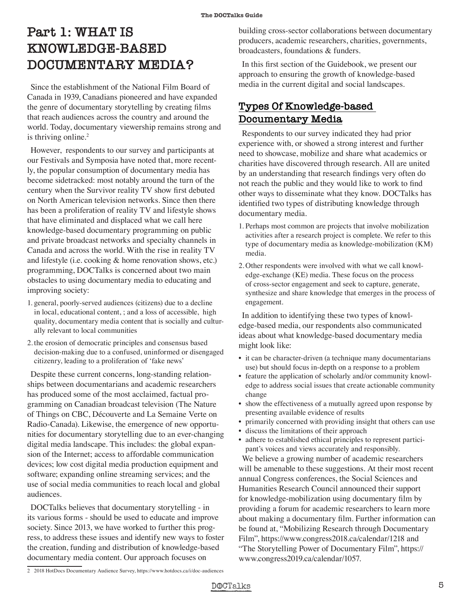# **Part 1: WHAT IS KNOWLEDGE-BASED DOCUMENTARY MEDIA?**

Since the establishment of the National Film Board of Canada in 1939, Canadians pioneered and have expanded the genre of documentary storytelling by creating films that reach audiences across the country and around the world. Today, documentary viewership remains strong and is thriving online.<sup>2</sup>

However, respondents to our survey and participants at our Festivals and Symposia have noted that, more recently, the popular consumption of documentary media has become sidetracked: most notably around the turn of the century when the Survivor reality TV show first debuted on North American television networks. Since then there has been a proliferation of reality TV and lifestyle shows that have eliminated and displaced what we call here knowledge-based documentary programming on public and private broadcast networks and specialty channels in Canada and across the world. With the rise in reality TV and lifestyle (i.e. cooking & home renovation shows, etc.) programming, DOCTalks is concerned about two main obstacles to using documentary media to educating and improving society:

- 1. general, poorly-served audiences (citizens) due to a decline in local, educational content, ; and a loss of accessible, high quality, documentary media content that is socially and culturally relevant to local communities
- 2. the erosion of democratic principles and consensus based decision-making due to a confused, uninformed or disengaged citizenry, leading to a proliferation of 'fake news'

Despite these current concerns, long-standing relationships between documentarians and academic researchers has produced some of the most acclaimed, factual programming on Canadian broadcast television (The Nature of Things on CBC, Découverte and La Semaine Verte on Radio-Canada). Likewise, the emergence of new opportunities for documentary storytelling due to an ever-changing digital media landscape. This includes: the global expansion of the Internet; access to affordable communication devices; low cost digital media production equipment and software; expanding online streaming services; and the use of social media communities to reach local and global audiences.

DOCTalks believes that documentary storytelling - in its various forms - should be used to educate and improve society. Since 2013, we have worked to further this progress, to address these issues and identify new ways to foster the creation, funding and distribution of knowledge-based documentary media content. Our approach focuses on

building cross-sector collaborations between documentary producers, academic researchers, charities, governments, broadcasters, foundations & funders.

In this first section of the Guidebook, we present our approach to ensuring the growth of knowledge-based media in the current digital and social landscapes.

# **Types Of Knowledge-based Documentary Media**

Respondents to our survey indicated they had prior experience with, or showed a strong interest and further need to showcase, mobilize and share what academics or charities have discovered through research. All are united by an understanding that research findings very often do not reach the public and they would like to work to find other ways to disseminate what they know. DOCTalks has identified two types of distributing knowledge through documentary media.

- 1. Perhaps most common are projects that involve mobilization activities after a research project is complete. We refer to this type of documentary media as knowledge-mobilization (KM) media.
- 2. Other respondents were involved with what we call knowledge-exchange (KE) media. These focus on the process of cross-sector engagement and seek to capture, generate, synthesize and share knowledge that emerges in the process of engagement.

In addition to identifying these two types of knowledge-based media, our respondents also communicated ideas about what knowledge-based documentary media might look like:

- it can be character-driven (a technique many documentarians use) but should focus in-depth on a response to a problem
- feature the application of scholarly and/or community knowledge to address social issues that create actionable community change
- show the effectiveness of a mutually agreed upon response by presenting available evidence of results
- primarily concerned with providing insight that others can use
- discuss the limitations of their approach
- adhere to established ethical principles to represent participant's voices and views accurately and responsibly.

We believe a growing number of academic researchers will be amenable to these suggestions. At their most recent annual Congress conferences, the Social Sciences and Humanities Research Council announced their support for knowledge-mobilization using documentary film by providing a forum for academic researchers to learn more about making a documentary film. Further information can be found at, "Mobilizing Research through Documentary Film", https://www.congress2018.ca/calendar/1218 and "The Storytelling Power of Documentary Film", https:// www.congress2019.ca/calendar/1057.

2 2018 HotDocs Documentary Audience Survey, https://www.hotdocs.ca/i/doc-audiences

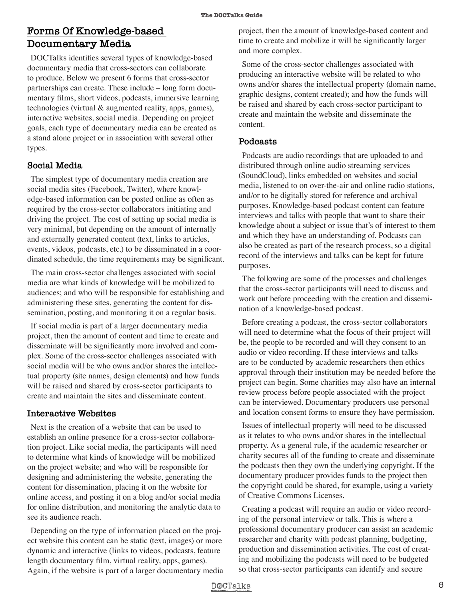#### **Forms Of Knowledge-based Documentary Media**

DOCTalks identifies several types of knowledge-based documentary media that cross-sectors can collaborate to produce. Below we present 6 forms that cross-sector partnerships can create. These include – long form documentary films, short videos, podcasts, immersive learning technologies (virtual & augmented reality, apps, games), interactive websites, social media. Depending on project goals, each type of documentary media can be created as a stand alone project or in association with several other types.

#### **Social Media**

The simplest type of documentary media creation are social media sites (Facebook, Twitter), where knowledge-based information can be posted online as often as required by the cross-sector collaborators initiating and driving the project. The cost of setting up social media is very minimal, but depending on the amount of internally and externally generated content (text, links to articles, events, videos, podcasts, etc.) to be disseminated in a coordinated schedule, the time requirements may be significant.

The main cross-sector challenges associated with social media are what kinds of knowledge will be mobilized to audiences; and who will be responsible for establishing and administering these sites, generating the content for dissemination, posting, and monitoring it on a regular basis.

If social media is part of a larger documentary media project, then the amount of content and time to create and disseminate will be significantly more involved and complex. Some of the cross-sector challenges associated with social media will be who owns and/or shares the intellectual property (site names, design elements) and how funds will be raised and shared by cross-sector participants to create and maintain the sites and disseminate content.

#### **Interactive Websites**

Next is the creation of a website that can be used to establish an online presence for a cross-sector collaboration project. Like social media, the participants will need to determine what kinds of knowledge will be mobilized on the project website; and who will be responsible for designing and administering the website, generating the content for dissemination, placing it on the website for online access, and posting it on a blog and/or social media for online distribution, and monitoring the analytic data to see its audience reach.

Depending on the type of information placed on the project website this content can be static (text, images) or more dynamic and interactive (links to videos, podcasts, feature length documentary film, virtual reality, apps, games). Again, if the website is part of a larger documentary media project, then the amount of knowledge-based content and time to create and mobilize it will be significantly larger and more complex.

Some of the cross-sector challenges associated with producing an interactive website will be related to who owns and/or shares the intellectual property (domain name, graphic designs, content created); and how the funds will be raised and shared by each cross-sector participant to create and maintain the website and disseminate the content.

#### **Podcasts**

Podcasts are audio recordings that are uploaded to and distributed through online audio streaming services (SoundCloud), links embedded on websites and social media, listened to on over-the-air and online radio stations, and/or to be digitally stored for reference and archival purposes. Knowledge-based podcast content can feature interviews and talks with people that want to share their knowledge about a subject or issue that's of interest to them and which they have an understanding of. Podcasts can also be created as part of the research process, so a digital record of the interviews and talks can be kept for future purposes.

The following are some of the processes and challenges that the cross-sector participants will need to discuss and work out before proceeding with the creation and dissemination of a knowledge-based podcast.

Before creating a podcast, the cross-sector collaborators will need to determine what the focus of their project will be, the people to be recorded and will they consent to an audio or video recording. If these interviews and talks are to be conducted by academic researchers then ethics approval through their institution may be needed before the project can begin. Some charities may also have an internal review process before people associated with the project can be interviewed. Documentary producers use personal and location consent forms to ensure they have permission.

Issues of intellectual property will need to be discussed as it relates to who owns and/or shares in the intellectual property. As a general rule, if the academic researcher or charity secures all of the funding to create and disseminate the podcasts then they own the underlying copyright. If the documentary producer provides funds to the project then the copyright could be shared, for example, using a variety of Creative Commons Licenses.

Creating a podcast will require an audio or video recording of the personal interview or talk. This is where a professional documentary producer can assist an academic researcher and charity with podcast planning, budgeting, production and dissemination activities. The cost of creating and mobilizing the podcasts will need to be budgeted so that cross-sector participants can identify and secure

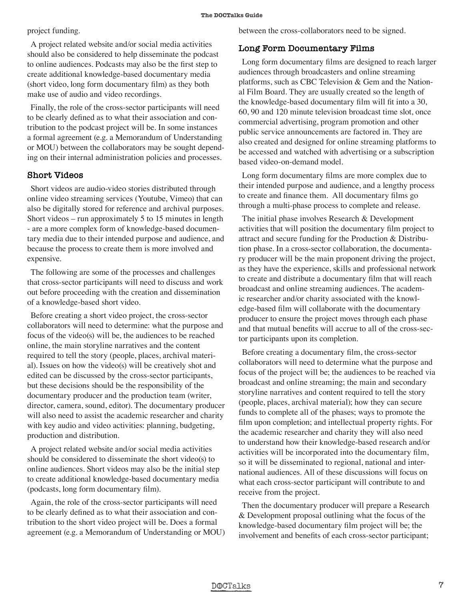project funding.

A project related website and/or social media activities should also be considered to help disseminate the podcast to online audiences. Podcasts may also be the first step to create additional knowledge-based documentary media (short video, long form documentary film) as they both make use of audio and video recordings.

Finally, the role of the cross-sector participants will need to be clearly defined as to what their association and contribution to the podcast project will be. In some instances a formal agreement (e.g. a Memorandum of Understanding or MOU) between the collaborators may be sought depending on their internal administration policies and processes.

#### **Short Videos**

Short videos are audio-video stories distributed through online video streaming services (Youtube, Vimeo) that can also be digitally stored for reference and archival purposes. Short videos – run approximately 5 to 15 minutes in length - are a more complex form of knowledge-based documentary media due to their intended purpose and audience, and because the process to create them is more involved and expensive.

The following are some of the processes and challenges that cross-sector participants will need to discuss and work out before proceeding with the creation and dissemination of a knowledge-based short video.

Before creating a short video project, the cross-sector collaborators will need to determine: what the purpose and focus of the video(s) will be, the audiences to be reached online, the main storyline narratives and the content required to tell the story (people, places, archival material). Issues on how the video(s) will be creatively shot and edited can be discussed by the cross-sector participants, but these decisions should be the responsibility of the documentary producer and the production team (writer, director, camera, sound, editor). The documentary producer will also need to assist the academic researcher and charity with key audio and video activities: planning, budgeting, production and distribution.

A project related website and/or social media activities should be considered to disseminate the short video(s) to online audiences. Short videos may also be the initial step to create additional knowledge-based documentary media (podcasts, long form documentary film).

Again, the role of the cross-sector participants will need to be clearly defined as to what their association and contribution to the short video project will be. Does a formal agreement (e.g. a Memorandum of Understanding or MOU) between the cross-collaborators need to be signed.

#### **Long Form Documentary Films**

Long form documentary films are designed to reach larger audiences through broadcasters and online streaming platforms, such as CBC Television & Gem and the National Film Board. They are usually created so the length of the knowledge-based documentary film will fit into a 30, 60, 90 and 120 minute television broadcast time slot, once commercial advertising, program promotion and other public service announcements are factored in. They are also created and designed for online streaming platforms to be accessed and watched with advertising or a subscription based video-on-demand model.

Long form documentary films are more complex due to their intended purpose and audience, and a lengthy process to create and finance them. All documentary films go through a multi-phase process to complete and release.

The initial phase involves Research & Development activities that will position the documentary film project to attract and secure funding for the Production & Distribution phase. In a cross-sector collaboration, the documentary producer will be the main proponent driving the project, as they have the experience, skills and professional network to create and distribute a documentary film that will reach broadcast and online streaming audiences. The academic researcher and/or charity associated with the knowledge-based film will collaborate with the documentary producer to ensure the project moves through each phase and that mutual benefits will accrue to all of the cross-sector participants upon its completion.

Before creating a documentary film, the cross-sector collaborators will need to determine what the purpose and focus of the project will be; the audiences to be reached via broadcast and online streaming; the main and secondary storyline narratives and content required to tell the story (people, places, archival material); how they can secure funds to complete all of the phases; ways to promote the film upon completion; and intellectual property rights. For the academic researcher and charity they will also need to understand how their knowledge-based research and/or activities will be incorporated into the documentary film, so it will be disseminated to regional, national and international audiences. All of these discussions will focus on what each cross-sector participant will contribute to and receive from the project.

Then the documentary producer will prepare a Research & Development proposal outlining what the focus of the knowledge-based documentary film project will be; the involvement and benefits of each cross-sector participant;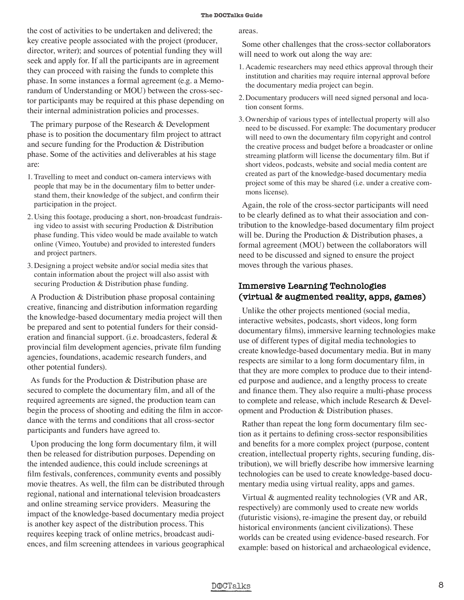the cost of activities to be undertaken and delivered; the key creative people associated with the project (producer, director, writer); and sources of potential funding they will seek and apply for. If all the participants are in agreement they can proceed with raising the funds to complete this phase. In some instances a formal agreement (e.g. a Memorandum of Understanding or MOU) between the cross-sector participants may be required at this phase depending on their internal administration policies and processes.

The primary purpose of the Research & Development phase is to position the documentary film project to attract and secure funding for the Production & Distribution phase. Some of the activities and deliverables at his stage are:

- 1. Travelling to meet and conduct on-camera interviews with people that may be in the documentary film to better understand them, their knowledge of the subject, and confirm their participation in the project.
- 2. Using this footage, producing a short, non-broadcast fundraising video to assist with securing Production & Distribution phase funding. This video would be made available to watch online (Vimeo, Youtube) and provided to interested funders and project partners.
- 3. Designing a project website and/or social media sites that contain information about the project will also assist with securing Production & Distribution phase funding.

A Production & Distribution phase proposal containing creative, financing and distribution information regarding the knowledge-based documentary media project will then be prepared and sent to potential funders for their consideration and financial support. (i.e. broadcasters, federal & provincial film development agencies, private film funding agencies, foundations, academic research funders, and other potential funders).

As funds for the Production & Distribution phase are secured to complete the documentary film, and all of the required agreements are signed, the production team can begin the process of shooting and editing the film in accordance with the terms and conditions that all cross-sector participants and funders have agreed to.

Upon producing the long form documentary film, it will then be released for distribution purposes. Depending on the intended audience, this could include screenings at film festivals, conferences, community events and possibly movie theatres. As well, the film can be distributed through regional, national and international television broadcasters and online streaming service providers. Measuring the impact of the knowledge-based documentary media project is another key aspect of the distribution process. This requires keeping track of online metrics, broadcast audiences, and film screening attendees in various geographical areas.

Some other challenges that the cross-sector collaborators will need to work out along the way are:

- 1. Academic researchers may need ethics approval through their institution and charities may require internal approval before the documentary media project can begin.
- 2. Documentary producers will need signed personal and location consent forms.
- 3. Ownership of various types of intellectual property will also need to be discussed. For example: The documentary producer will need to own the documentary film copyright and control the creative process and budget before a broadcaster or online streaming platform will license the documentary film. But if short videos, podcasts, website and social media content are created as part of the knowledge-based documentary media project some of this may be shared (i.e. under a creative commons license).

Again, the role of the cross-sector participants will need to be clearly defined as to what their association and contribution to the knowledge-based documentary film project will be. During the Production & Distribution phases, a formal agreement (MOU) between the collaborators will need to be discussed and signed to ensure the project moves through the various phases.

#### **Immersive Learning Technologies (virtual & augmented reality, apps, games)**

Unlike the other projects mentioned (social media, interactive websites, podcasts, short videos, long form documentary films), immersive learning technologies make use of different types of digital media technologies to create knowledge-based documentary media. But in many respects are similar to a long form documentary film, in that they are more complex to produce due to their intended purpose and audience, and a lengthy process to create and finance them. They also require a multi-phase process to complete and release, which include Research & Development and Production & Distribution phases.

Rather than repeat the long form documentary film section as it pertains to defining cross-sector responsibilities and benefits for a more complex project (purpose, content creation, intellectual property rights, securing funding, distribution), we will briefly describe how immersive learning technologies can be used to create knowledge-based documentary media using virtual reality, apps and games.

Virtual & augmented reality technologies (VR and AR, respectively) are commonly used to create new worlds (futuristic visions), re-imagine the present day, or rebuild historical environments (ancient civilizations). These worlds can be created using evidence-based research. For example: based on historical and archaeological evidence,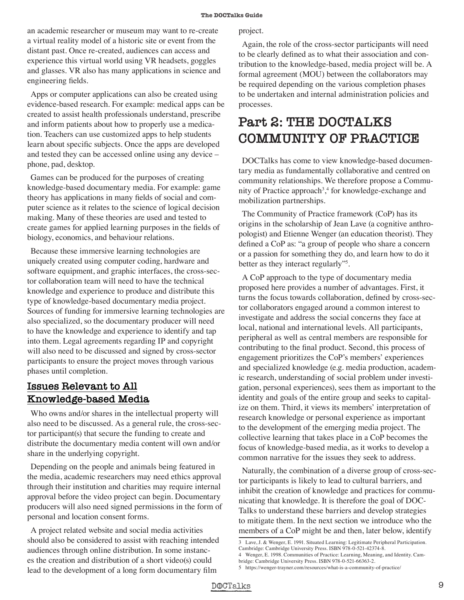an academic researcher or museum may want to re-create a virtual reality model of a historic site or event from the distant past. Once re-created, audiences can access and experience this virtual world using VR headsets, goggles and glasses. VR also has many applications in science and engineering fields.

Apps or computer applications can also be created using evidence-based research. For example: medical apps can be created to assist health professionals understand, prescribe and inform patients about how to properly use a medication. Teachers can use customized apps to help students learn about specific subjects. Once the apps are developed and tested they can be accessed online using any device – phone, pad, desktop.

Games can be produced for the purposes of creating knowledge-based documentary media. For example: game theory has applications in many fields of social and computer science as it relates to the science of logical decision making. Many of these theories are used and tested to create games for applied learning purposes in the fields of biology, economics, and behaviour relations.

Because these immersive learning technologies are uniquely created using computer coding, hardware and software equipment, and graphic interfaces, the cross-sector collaboration team will need to have the technical knowledge and experience to produce and distribute this type of knowledge-based documentary media project. Sources of funding for immersive learning technologies are also specialized, so the documentary producer will need to have the knowledge and experience to identify and tap into them. Legal agreements regarding IP and copyright will also need to be discussed and signed by cross-sector participants to ensure the project moves through various phases until completion.

#### **Issues Relevant to All Knowledge-based Media**

Who owns and/or shares in the intellectual property will also need to be discussed. As a general rule, the cross-sector participant(s) that secure the funding to create and distribute the documentary media content will own and/or share in the underlying copyright.

Depending on the people and animals being featured in the media, academic researchers may need ethics approval through their institution and charities may require internal approval before the video project can begin. Documentary producers will also need signed permissions in the form of personal and location consent forms.

A project related website and social media activities should also be considered to assist with reaching intended audiences through online distribution. In some instances the creation and distribution of a short video(s) could lead to the development of a long form documentary film

project.

Again, the role of the cross-sector participants will need to be clearly defined as to what their association and contribution to the knowledge-based, media project will be. A formal agreement (MOU) between the collaborators may be required depending on the various completion phases to be undertaken and internal administration policies and processes.

# **Part 2: THE DOCTALKS COMMUNITY OF PRACTICE**

DOCTalks has come to view knowledge-based documentary media as fundamentally collaborative and centred on community relationships. We therefore propose a Community of Practice approach<sup>3</sup>,<sup>4</sup> for knowledge-exchange and mobilization partnerships.

The Community of Practice framework (CoP) has its origins in the scholarship of Jean Lave (a cognitive anthropologist) and Etienne Wenger (an education theorist). They defined a CoP as: "a group of people who share a concern or a passion for something they do, and learn how to do it better as they interact regularly"<sup>5</sup>.

A CoP approach to the type of documentary media proposed here provides a number of advantages. First, it turns the focus towards collaboration, defined by cross-sector collaborators engaged around a common interest to investigate and address the social concerns they face at local, national and international levels. All participants, peripheral as well as central members are responsible for contributing to the final product. Second, this process of engagement prioritizes the CoP's members' experiences and specialized knowledge (e.g. media production, academic research, understanding of social problem under investigation, personal experiences), sees them as important to the identity and goals of the entire group and seeks to capitalize on them. Third, it views its members' interpretation of research knowledge or personal experience as important to the development of the emerging media project. The collective learning that takes place in a CoP becomes the focus of knowledge-based media, as it works to develop a common narrative for the issues they seek to address.

Naturally, the combination of a diverse group of cross-sector participants is likely to lead to cultural barriers, and inhibit the creation of knowledge and practices for communicating that knowledge. It is therefore the goal of DOC-Talks to understand these barriers and develop strategies to mitigate them. In the next section we introduce who the members of a CoP might be and then, later below, identify

<sup>3</sup> Lave, J. & Wenger, E. 1991. Situated Learning: Legitimate Peripheral Participation. Cambridge: Cambridge University Press. ISBN 978-0-521-42374-8.

<sup>4</sup> Wenger, E. 1998. Communities of Practice: Learning, Meaning, and Identity. Cam-

bridge: Cambridge University Press. ISBN 978-0-521-66363-2.

<sup>5</sup> https://wenger-trayner.com/resources/what-is-a-community-of-practice/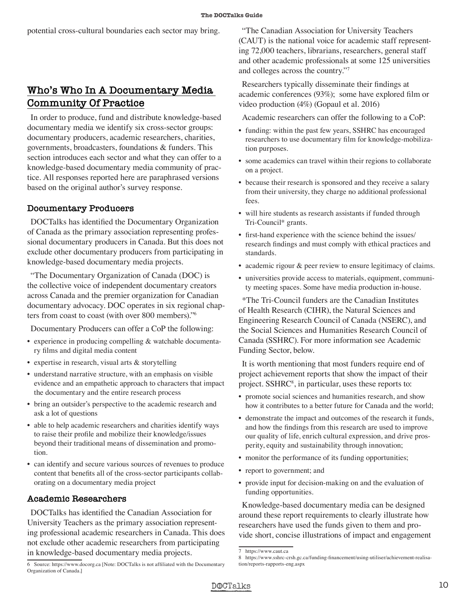# **Who's Who In A Documentary Media Community Of Practice**

In order to produce, fund and distribute knowledge-based documentary media we identify six cross-sector groups: documentary producers, academic researchers, charities, governments, broadcasters, foundations & funders. This section introduces each sector and what they can offer to a knowledge-based documentary media community of practice. All responses reported here are paraphrased versions based on the original author's survey response.

#### **Documentary Producers**

DOCTalks has identified the Documentary Organization of Canada as the primary association representing professional documentary producers in Canada. But this does not exclude other documentary producers from participating in knowledge-based documentary media projects.

"The Documentary Organization of Canada (DOC) is the collective voice of independent documentary creators across Canada and the premier organization for Canadian documentary advocacy. DOC operates in six regional chapters from coast to coast (with over 800 members)."6

Documentary Producers can offer a CoP the following:

- experience in producing compelling & watchable documentary films and digital media content
- expertise in research, visual arts & storytelling
- understand narrative structure, with an emphasis on visible evidence and an empathetic approach to characters that impact the documentary and the entire research process
- bring an outsider's perspective to the academic research and ask a lot of questions
- able to help academic researchers and charities identify ways to raise their profile and mobilize their knowledge/issues beyond their traditional means of dissemination and promotion.
- can identify and secure various sources of revenues to produce content that benefits all of the cross-sector participants collaborating on a documentary media project

#### **Academic Researchers**

DOCTalks has identified the Canadian Association for University Teachers as the primary association representing professional academic researchers in Canada. This does not exclude other academic researchers from participating in knowledge-based documentary media projects.

"The Canadian Association for University Teachers (CAUT) is the national voice for academic staff representing 72,000 teachers, librarians, researchers, general staff and other academic professionals at some 125 universities and colleges across the country."7

Researchers typically disseminate their findings at academic conferences (93%); some have explored film or video production (4%) (Gopaul et al. 2016)

Academic researchers can offer the following to a CoP:

- funding: within the past few years, SSHRC has encouraged researchers to use documentary film for knowledge-mobilization purposes.
- some academics can travel within their regions to collaborate on a project.
- because their research is sponsored and they receive a salary from their university, they charge no additional professional fees.
- will hire students as research assistants if funded through Tri-Council\* grants.
- first-hand experience with the science behind the issues/ research findings and must comply with ethical practices and standards.
- academic rigour & peer review to ensure legitimacy of claims.
- universities provide access to materials, equipment, community meeting spaces. Some have media production in-house.

\*The Tri-Council funders are the Canadian Institutes of Health Research (CIHR), the Natural Sciences and Engineering Research Council of Canada (NSERC), and the Social Sciences and Humanities Research Council of Canada (SSHRC). For more information see Academic Funding Sector, below.

It is worth mentioning that most funders require end of project achievement reports that show the impact of their project. SSHRC<sup>8</sup>, in particular, uses these reports to:

- promote social sciences and humanities research, and show how it contributes to a better future for Canada and the world;
- demonstrate the impact and outcomes of the research it funds, and how the findings from this research are used to improve our quality of life, enrich cultural expression, and drive prosperity, equity and sustainability through innovation;
- monitor the performance of its funding opportunities;
- report to government; and
- provide input for decision-making on and the evaluation of funding opportunities.

Knowledge-based documentary media can be designed around these report requirements to clearly illustrate how researchers have used the funds given to them and provide short, concise illustrations of impact and engagement

<sup>8</sup> https://www.sshrc-crsh.gc.ca/funding-financement/using-utiliser/achievement-realisation/reports-rapports-eng.aspx



<sup>6</sup> Source: https://www.docorg.ca [Note: DOCTalks is not affiliated with the Documentary Organization of Canada.]

<sup>7</sup> https://www.caut.ca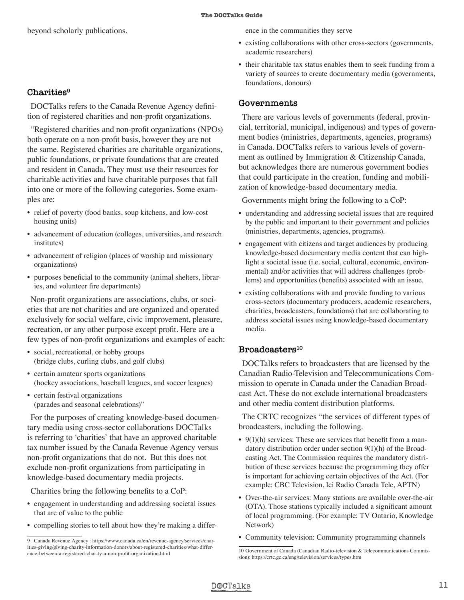beyond scholarly publications.

#### **Charities9**

DOCTalks refers to the Canada Revenue Agency definition of registered charities and non-profit organizations.

"Registered charities and non-profit organizations (NPOs) both operate on a non-profit basis, however they are not the same. Registered charities are charitable organizations, public foundations, or private foundations that are created and resident in Canada. They must use their resources for charitable activities and have charitable purposes that fall into one or more of the following categories. Some examples are:

- relief of poverty (food banks, soup kitchens, and low-cost housing units)
- advancement of education (colleges, universities, and research institutes)
- advancement of religion (places of worship and missionary organizations)
- purposes beneficial to the community (animal shelters, libraries, and volunteer fire departments)

Non-profit organizations are associations, clubs, or societies that are not charities and are organized and operated exclusively for social welfare, civic improvement, pleasure, recreation, or any other purpose except profit. Here are a few types of non-profit organizations and examples of each:

- social, recreational, or hobby groups (bridge clubs, curling clubs, and golf clubs)
- certain amateur sports organizations (hockey associations, baseball leagues, and soccer leagues)
- certain festival organizations (parades and seasonal celebrations)"

For the purposes of creating knowledge-based documentary media using cross-sector collaborations DOCTalks is referring to 'charities' that have an approved charitable tax number issued by the Canada Revenue Agency versus non-profit organizations that do not. But this does not exclude non-profit organizations from participating in knowledge-based documentary media projects.

Charities bring the following benefits to a CoP:

- engagement in understanding and addressing societal issues that are of value to the public
- compelling stories to tell about how they're making a differ-

ence in the communities they serve

- existing collaborations with other cross-sectors (governments, academic researchers)
- their charitable tax status enables them to seek funding from a variety of sources to create documentary media (governments, foundations, donours)

#### **Governments**

There are various levels of governments (federal, provincial, territorial, municipal, indigenous) and types of government bodies (ministries, departments, agencies, programs) in Canada. DOCTalks refers to various levels of government as outlined by Immigration & Citizenship Canada, but acknowledges there are numerous government bodies that could participate in the creation, funding and mobilization of knowledge-based documentary media.

Governments might bring the following to a CoP:

- understanding and addressing societal issues that are required by the public and important to their government and policies (ministries, departments, agencies, programs).
- engagement with citizens and target audiences by producing knowledge-based documentary media content that can highlight a societal issue (i.e. social, cultural, economic, environmental) and/or activities that will address challenges (problems) and opportunities (benefits) associated with an issue.
- existing collaborations with and provide funding to various cross-sectors (documentary producers, academic researchers, charities, broadcasters, foundations) that are collaborating to address societal issues using knowledge-based documentary media.

#### Broadcasters<sup>10</sup>

DOCTalks refers to broadcasters that are licensed by the Canadian Radio-Television and Telecommunications Commission to operate in Canada under the Canadian Broadcast Act. These do not exclude international broadcasters and other media content distribution platforms.

The CRTC recognizes "the services of different types of broadcasters, including the following.

- $9(1)(h)$  services: These are services that benefit from a mandatory distribution order under section 9(1)(h) of the Broadcasting Act. The Commission requires the mandatory distribution of these services because the programming they offer is important for achieving certain objectives of the Act. (For example: CBC Television, Ici Radio Canada Tele, APTN)
- Over-the-air services: Many stations are available over-the-air (OTA). Those stations typically included a significant amount of local programming. (For example: TV Ontario, Knowledge Network)
- Community television: Community programming channels

<sup>9</sup> Canada Revenue Agency : https://www.canada.ca/en/revenue-agency/services/charities-giving/giving-charity-information-donors/about-registered-charities/what-difference-between-a-registered-charity-a-non-profit-organization.html

<sup>10</sup> Government of Canada (Canadian Radio-television & Telecommunications Commission): https://crtc.gc.ca/eng/television/services/types.htm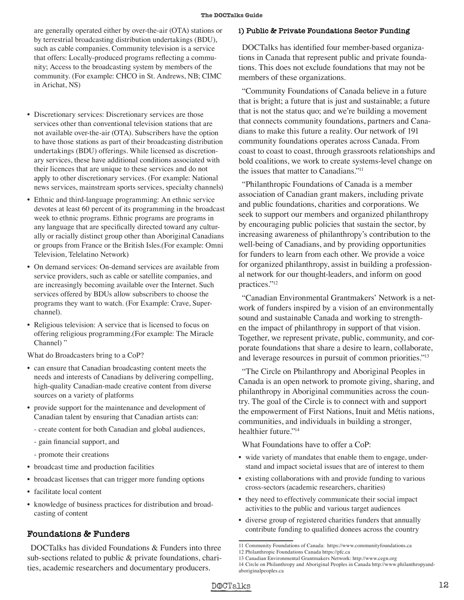- are generally operated either by over-the-air (OTA) stations or by terrestrial broadcasting distribution undertakings (BDU), such as cable companies. Community television is a service that offers: Locally-produced programs reflecting a community; Access to the broadcasting system by members of the community. (For example: CHCO in St. Andrews, NB; CIMC in Arichat, NS)
- Discretionary services: Discretionary services are those services other than conventional television stations that are not available over-the-air (OTA). Subscribers have the option to have those stations as part of their broadcasting distribution undertakings (BDU) offerings. While licensed as discretionary services, these have additional conditions associated with their licences that are unique to these services and do not apply to other discretionary services. (For example: National news services, mainstream sports services, specialty channels)
- Ethnic and third-language programming: An ethnic service devotes at least 60 percent of its programming in the broadcast week to ethnic programs. Ethnic programs are programs in any language that are specifically directed toward any culturally or racially distinct group other than Aboriginal Canadians or groups from France or the British Isles.(For example: Omni Television, Telelatino Network)
- On demand services: On-demand services are available from service providers, such as cable or satellite companies, and are increasingly becoming available over the Internet. Such services offered by BDUs allow subscribers to choose the programs they want to watch. (For Example: Crave, Superchannel).
- Religious television: A service that is licensed to focus on offering religious programming.(For example: The Miracle Channel) "

What do Broadcasters bring to a CoP?

- can ensure that Canadian broadcasting content meets the needs and interests of Canadians by delivering compelling, high-quality Canadian-made creative content from diverse sources on a variety of platforms
- provide support for the maintenance and development of Canadian talent by ensuring that Canadian artists can:
	- create content for both Canadian and global audiences,
	- gain financial support, and
	- promote their creations
- broadcast time and production facilities
- broadcast licenses that can trigger more funding options
- facilitate local content
- knowledge of business practices for distribution and broadcasting of content

#### **Foundations & Funders**

DOCTalks has divided Foundations & Funders into three sub-sections related to public & private foundations, charities, academic researchers and documentary producers.

#### **i) Public & Private Foundations Sector Funding**

DOCTalks has identified four member-based organizations in Canada that represent public and private foundations. This does not exclude foundations that may not be members of these organizations.

"Community Foundations of Canada believe in a future that is bright; a future that is just and sustainable; a future that is not the status quo; and we're building a movement that connects community foundations, partners and Canadians to make this future a reality. Our network of 191 community foundations operates across Canada. From coast to coast to coast, through grassroots relationships and bold coalitions, we work to create systems-level change on the issues that matter to Canadians."11

"Philanthropic Foundations of Canada is a member association of Canadian grant makers, including private and public foundations, charities and corporations. We seek to support our members and organized philanthropy by encouraging public policies that sustain the sector, by increasing awareness of philanthropy's contribution to the well-being of Canadians, and by providing opportunities for funders to learn from each other. We provide a voice for organized philanthropy, assist in building a professional network for our thought-leaders, and inform on good practices."12

"Canadian Environmental Grantmakers' Network is a network of funders inspired by a vision of an environmentally sound and sustainable Canada and working to strengthen the impact of philanthropy in support of that vision. Together, we represent private, public, community, and corporate foundations that share a desire to learn, collaborate, and leverage resources in pursuit of common priorities."13

"The Circle on Philanthropy and Aboriginal Peoples in Canada is an open network to promote giving, sharing, and philanthropy in Aboriginal communities across the country. The goal of the Circle is to connect with and support the empowerment of First Nations, Inuit and Métis nations, communities, and individuals in building a stronger, healthier future."14

What Foundations have to offer a CoP:

- wide variety of mandates that enable them to engage, understand and impact societal issues that are of interest to them
- existing collaborations with and provide funding to various cross-sectors (academic researchers, charities)
- they need to effectively communicate their social impact activities to the public and various target audiences
- diverse group of registered charities funders that annually contribute funding to qualified donees across the country

<sup>11</sup> Community Foundations of Canada: https://www.communityfoundations.ca 12 Philanthropic Foundations Canada https://pfc.ca

<sup>13</sup> Canadian Environmental Grantmakers Network: http://www.cegn.org

<sup>14</sup> Circle on Philanthropy and Aboriginal Peoples in Canada http://www.philanthropyandaboriginalpeoples.ca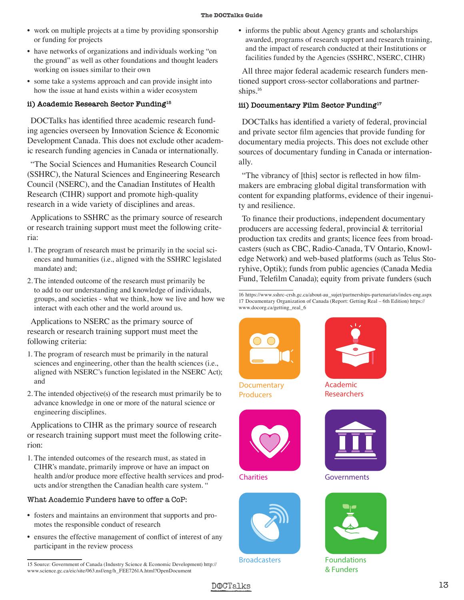- work on multiple projects at a time by providing sponsorship or funding for projects
- have networks of organizations and individuals working "on the ground" as well as other foundations and thought leaders working on issues similar to their own
- some take a systems approach and can provide insight into how the issue at hand exists within a wider ecosystem

#### **ii) Academic Research Sector Funding15**

DOCTalks has identified three academic research funding agencies overseen by Innovation Science & Economic Development Canada. This does not exclude other academic research funding agencies in Canada or internationally.

"The Social Sciences and Humanities Research Council (SSHRC), the Natural Sciences and Engineering Research Council (NSERC), and the Canadian Institutes of Health Research (CIHR) support and promote high-quality research in a wide variety of disciplines and areas.

Applications to SSHRC as the primary source of research or research training support must meet the following criteria:

- 1. The program of research must be primarily in the social sciences and humanities (i.e., aligned with the SSHRC legislated mandate) and;
- 2. The intended outcome of the research must primarily be to add to our understanding and knowledge of individuals, groups, and societies - what we think, how we live and how we interact with each other and the world around us.

Applications to NSERC as the primary source of research or research training support must meet the following criteria:

- 1. The program of research must be primarily in the natural sciences and engineering, other than the health sciences (i.e., aligned with NSERC's function legislated in the NSERC Act); and
- 2. The intended objective(s) of the research must primarily be to advance knowledge in one or more of the natural science or engineering disciplines.

Applications to CIHR as the primary source of research or research training support must meet the following criterion:

1. The intended outcomes of the research must, as stated in CIHR's mandate, primarily improve or have an impact on health and/or produce more effective health services and products and/or strengthen the Canadian health care system. "

#### What Academic Funders have to offer a CoP:

- fosters and maintains an environment that supports and promotes the responsible conduct of research
- ensures the effective management of conflict of interest of any participant in the review process

• informs the public about Agency grants and scholarships awarded, programs of research support and research training, and the impact of research conducted at their Institutions or facilities funded by the Agencies (SSHRC, NSERC, CIHR)

All three major federal academic research funders mentioned support cross-sector collaborations and partnerships.<sup>16</sup>

#### **iii) Documentary Film Sector Funding17**

DOCTalks has identified a variety of federal, provincial and private sector film agencies that provide funding for documentary media projects. This does not exclude other sources of documentary funding in Canada or internationally.

"The vibrancy of [this] sector is reflected in how filmmakers are embracing global digital transformation with content for expanding platforms, evidence of their ingenuity and resilience.

To finance their productions, independent documentary producers are accessing federal, provincial & territorial production tax credits and grants; licence fees from broadcasters (such as CBC, Radio-Canada, TV Ontario, Knowledge Network) and web-based platforms (such as Telus Storyhive, Optik); funds from public agencies (Canada Media Fund, Telefilm Canada); equity from private funders (such

16 https://www.sshrc-crsh.gc.ca/about-au\_sujet/partnerships-partenariats/index-eng.aspx 17 Documentary Organization of Canada (Report: Getting Real – 6th Edition) https:// www.docorg.ca/getting\_real\_6



**Documentary Producers**



**Charities**



**Broadcasters**



**Academic Researchers**



**Governments**



**Foundations & Funders**



<sup>15</sup> Source: Government of Canada (Industry Science & Economic Development) http:// www.science.gc.ca/eic/site/063.nsf/eng/h\_FEE7261A.html?OpenDocument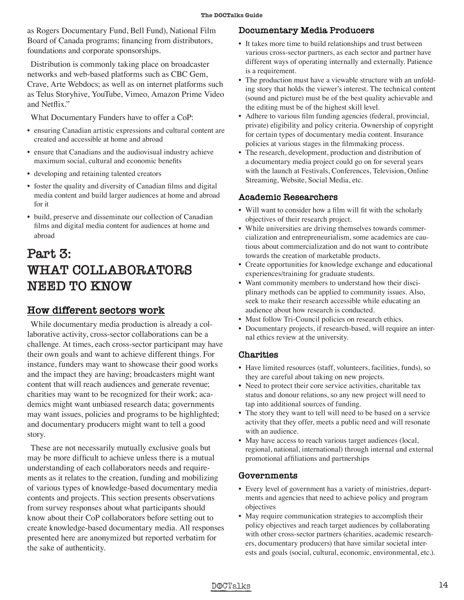as Rogers Documentary Fund, Bell Fund), National Film Board of Canada programs; financing from distributors, foundations and corporate sponsorships.

Distribution is commonly taking place on broadcaster networks and web-based platforms such as CBC Gem, Crave, Arte Webdocs; as well as on internet platforms such as Telus Storyhive, YouTube, Vimeo, Amazon Prime Video and Netflix."

What Documentary Funders have to offer a CoP:

- ensuring Canadian artistic expressions and cultural content are created and accessible at home and abroad
- ensure that Canadians and the audiovisual industry achieve maximum social, cultural and economic benefits
- developing and retaining talented creators
- foster the quality and diversity of Canadian films and digital media content and build larger audiences at home and abroad for it
- build, preserve and disseminate our collection of Canadian films and digital media content for audiences at home and abroad

# **Part 3: WHAT COLLABORATORS NEED TO KNOW**

#### **How different sectors work**

While documentary media production is already a collaborative activity, cross-sector collaborations can be a challenge. At times, each cross-sector participant may have their own goals and want to achieve different things. For instance, funders may want to showcase their good works and the impact they are having; broadcasters might want content that will reach audiences and generate revenue; charities may want to be recognized for their work; academics might want unbiased research data; governments may want issues, policies and programs to be highlighted; and documentary producers might want to tell a good story.

These are not necessarily mutually exclusive goals but may be more difficult to achieve unless there is a mutual understanding of each collaborators needs and requirements as it relates to the creation, funding and mobilizing of various types of knowledge-based documentary media contents and projects. This section presents observations from survey responses about what participants should know about their CoP collaborators before setting out to create knowledge-based documentary media. All responses presented here are anonymized but reported verbatim for the sake of authenticity.

#### **Documentary Media Producers**

- It takes more time to build relationships and trust between various cross-sector partners, as each sector and partner have different ways of operating internally and externally. Patience is a requirement.
- The production must have a viewable structure with an unfolding story that holds the viewer's interest. The technical content (sound and picture) must be of the best quality achievable and the editing must be of the highest skill level.
- Adhere to various film funding agencies (federal, provincial, private) eligibility and policy criteria. Ownership of copyright for certain types of documentary media content. Insurance policies at various stages in the filmmaking process.
- The research, development, production and distribution of a documentary media project could go on for several years with the launch at Festivals, Conferences, Television, Online Streaming, Website, Social Media, etc.

#### **Academic Researchers**

- Will want to consider how a film will fit with the scholarly objectives of their research project.
- While universities are driving themselves towards commercialization and entrepreneurialism, some academics are cautious about commercialization and do not want to contribute towards the creation of marketable products.
- Create opportunities for knowledge exchange and educational experiences/training for graduate students.
- Want community members to understand how their disciplinary methods can be applied to community issues. Also, seek to make their research accessible while educating an audience about how research is conducted.
- Must follow Tri-Council policies on research ethics.
- Documentary projects, if research-based, will require an internal ethics review at the university.

#### **Charities**

- Have limited resources (staff, volunteers, facilities, funds), so they are careful about taking on new projects.
- Need to protect their core service activities, charitable tax status and donour relations, so any new project will need to tap into additional sources of funding.
- The story they want to tell will need to be based on a service activity that they offer, meets a public need and will resonate with an audience.
- May have access to reach various target audiences (local, regional, national, international) through internal and external promotional affiliations and partnerships

#### **Governments**

- Every level of government has a variety of ministries, departments and agencies that need to achieve policy and program objectives
- May require communication strategies to accomplish their policy objectives and reach target audiences by collaborating with other cross-sector partners (charities, academic researchers, documentary producers) that have similar societal interests and goals (social, cultural, economic, environmental, etc.).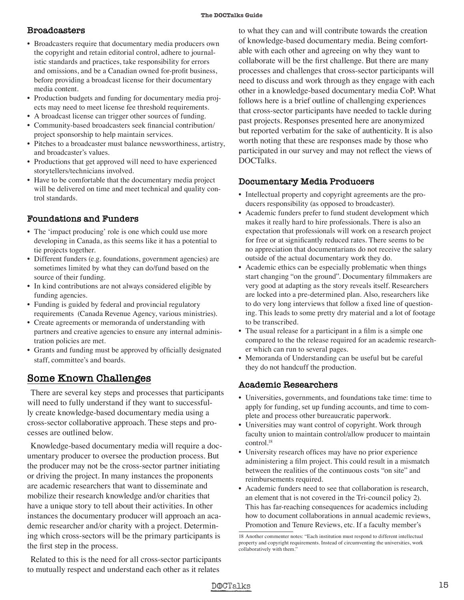#### **Broadcasters**

- Broadcasters require that documentary media producers own the copyright and retain editorial control, adhere to journalistic standards and practices, take responsibility for errors and omissions, and be a Canadian owned for-profit business, before providing a broadcast license for their documentary media content.
- Production budgets and funding for documentary media projects may need to meet license fee threshold requirements.
- A broadcast license can trigger other sources of funding.
- Community-based broadcasters seek financial contribution/ project sponsorship to help maintain services.
- Pitches to a broadcaster must balance newsworthiness, artistry, and broadcaster's values.
- Productions that get approved will need to have experienced storytellers/technicians involved.
- Have to be comfortable that the documentary media project will be delivered on time and meet technical and quality control standards.

#### **Foundations and Funders**

- The 'impact producing' role is one which could use more developing in Canada, as this seems like it has a potential to tie projects together.
- Different funders (e.g. foundations, government agencies) are sometimes limited by what they can do/fund based on the source of their funding.
- In kind contributions are not always considered eligible by funding agencies.
- Funding is guided by federal and provincial regulatory requirements (Canada Revenue Agency, various ministries).
- Create agreements or memoranda of understanding with partners and creative agencies to ensure any internal administration policies are met.
- Grants and funding must be approved by officially designated staff, committee's and boards.

#### **Some Known Challenges**

There are several key steps and processes that participants will need to fully understand if they want to successfully create knowledge-based documentary media using a cross-sector collaborative approach. These steps and processes are outlined below.

Knowledge-based documentary media will require a documentary producer to oversee the production process. But the producer may not be the cross-sector partner initiating or driving the project. In many instances the proponents are academic researchers that want to disseminate and mobilize their research knowledge and/or charities that have a unique story to tell about their activities. In other instances the documentary producer will approach an academic researcher and/or charity with a project. Determining which cross-sectors will be the primary participants is the first step in the process.

Related to this is the need for all cross-sector participants to mutually respect and understand each other as it relates

to what they can and will contribute towards the creation of knowledge-based documentary media. Being comfortable with each other and agreeing on why they want to collaborate will be the first challenge. But there are many processes and challenges that cross-sector participants will need to discuss and work through as they engage with each other in a knowledge-based documentary media CoP. What follows here is a brief outline of challenging experiences that cross-sector participants have needed to tackle during past projects. Responses presented here are anonymized but reported verbatim for the sake of authenticity. It is also worth noting that these are responses made by those who participated in our survey and may not reflect the views of DOCTalks.

#### **Documentary Media Producers**

- Intellectual property and copyright agreements are the producers responsibility (as opposed to broadcaster).
- Academic funders prefer to fund student development which makes it really hard to hire professionals. There is also an expectation that professionals will work on a research project for free or at significantly reduced rates. There seems to be no appreciation that documentarians do not receive the salary outside of the actual documentary work they do.
- Academic ethics can be especially problematic when things start changing "on the ground". Documentary filmmakers are very good at adapting as the story reveals itself. Researchers are locked into a pre-determined plan. Also, researchers like to do very long interviews that follow a fixed line of questioning. This leads to some pretty dry material and a lot of footage to be transcribed.
- The usual release for a participant in a film is a simple one compared to the the release required for an academic researcher which can run to several pages.
- Memoranda of Understanding can be useful but be careful they do not handcuff the production.

#### **Academic Researchers**

- Universities, governments, and foundations take time: time to apply for funding, set up funding accounts, and time to complete and process other bureaucratic paperwork.
- Universities may want control of copyright. Work through faculty union to maintain control/allow producer to maintain control.18
- University research offices may have no prior experience administering a film project. This could result in a mismatch between the realities of the continuous costs "on site" and reimbursements required.
- Academic funders need to see that collaboration is research, an element that is not covered in the Tri-council policy 2). This has far-reaching consequences for academics including how to document collaborations in annual academic reviews, Promotion and Tenure Reviews, etc. If a faculty member's

<sup>18</sup> Another commenter notes: "Each institution must respond to different intellectual property and copyright requirements. Instead of circumventing the universities, work collaboratively with them."

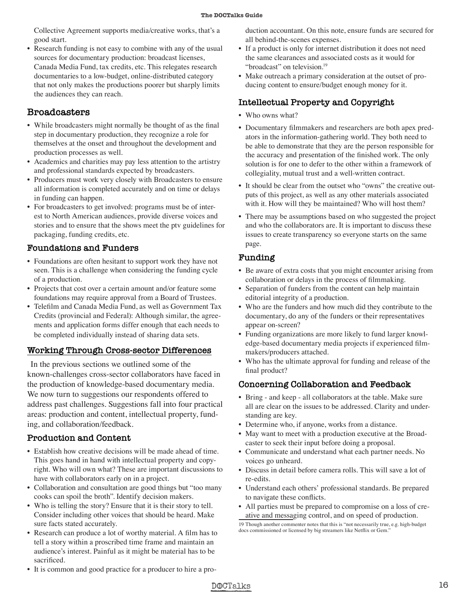Collective Agreement supports media/creative works, that's a good start.

• Research funding is not easy to combine with any of the usual sources for documentary production: broadcast licenses, Canada Media Fund, tax credits, etc. This relegates research documentaries to a low-budget, online-distributed category that not only makes the productions poorer but sharply limits the audiences they can reach.

#### **Broadcasters**

- While broadcasters might normally be thought of as the final step in documentary production, they recognize a role for themselves at the onset and throughout the development and production processes as well.
- Academics and charities may pay less attention to the artistry and professional standards expected by broadcasters.
- Producers must work very closely with Broadcasters to ensure all information is completed accurately and on time or delays in funding can happen.
- For broadcasters to get involved: programs must be of interest to North American audiences, provide diverse voices and stories and to ensure that the shows meet the ptv guidelines for packaging, funding credits, etc.

#### **Foundations and Funders**

- Foundations are often hesitant to support work they have not seen. This is a challenge when considering the funding cycle of a production.
- Projects that cost over a certain amount and/or feature some foundations may require approval from a Board of Trustees.
- Telefilm and Canada Media Fund, as well as Government Tax Credits (provincial and Federal): Although similar, the agreements and application forms differ enough that each needs to be completed individually instead of sharing data sets.

#### **Working Through Cross-sector Differences**

In the previous sections we outlined some of the known-challenges cross-sector collaborators have faced in the production of knowledge-based documentary media. We now turn to suggestions our respondents offered to address past challenges. Suggestions fall into four practical areas: production and content, intellectual property, funding, and collaboration/feedback.

#### **Production and Content**

- Establish how creative decisions will be made ahead of time. This goes hand in hand with intellectual property and copyright. Who will own what? These are important discussions to have with collaborators early on in a project.
- Collaboration and consultation are good things but "too many cooks can spoil the broth". Identify decision makers.
- Who is telling the story? Ensure that it is their story to tell. Consider including other voices that should be heard. Make sure facts stated accurately.
- Research can produce a lot of worthy material. A film has to tell a story within a proscribed time frame and maintain an audience's interest. Painful as it might be material has to be sacrificed.
- It is common and good practice for a producer to hire a pro-

duction accountant. On this note, ensure funds are secured for all behind-the-scenes expenses.

- If a product is only for internet distribution it does not need the same clearances and associated costs as it would for "broadcast" on television.<sup>19</sup>
- Make outreach a primary consideration at the outset of producing content to ensure/budget enough money for it.

#### **Intellectual Property and Copyright**

- Who owns what?
- Documentary filmmakers and researchers are both apex predators in the information-gathering world. They both need to be able to demonstrate that they are the person responsible for the accuracy and presentation of the finished work. The only solution is for one to defer to the other within a framework of collegiality, mutual trust and a well-written contract.
- It should be clear from the outset who "owns" the creative outputs of this project, as well as any other materials associated with it. How will they be maintained? Who will host them?
- There may be assumptions based on who suggested the project and who the collaborators are. It is important to discuss these issues to create transparency so everyone starts on the same page.

#### **Funding**

- Be aware of extra costs that you might encounter arising from collaboration or delays in the process of filmmaking.
- Separation of funders from the content can help maintain editorial integrity of a production.
- Who are the funders and how much did they contribute to the documentary, do any of the funders or their representatives appear on-screen?
- Funding organizations are more likely to fund larger knowledge-based documentary media projects if experienced filmmakers/producers attached.
- Who has the ultimate approval for funding and release of the final product?

#### **Concerning Collaboration and Feedback**

- Bring and keep all collaborators at the table. Make sure all are clear on the issues to be addressed. Clarity and understanding are key.
- Determine who, if anyone, works from a distance.
- May want to meet with a production executive at the Broadcaster to seek their input before doing a proposal.
- Communicate and understand what each partner needs. No voices go unheard.
- Discuss in detail before camera rolls. This will save a lot of re-edits.
- Understand each others' professional standards. Be prepared to navigate these conflicts.
- All parties must be prepared to compromise on a loss of creative and messaging control, and on speed of production.



<sup>19</sup> Though another commenter notes that this is "not necessarily true, e.g. high-budget docs commissioned or licensed by big streamers like Netflix or Gem."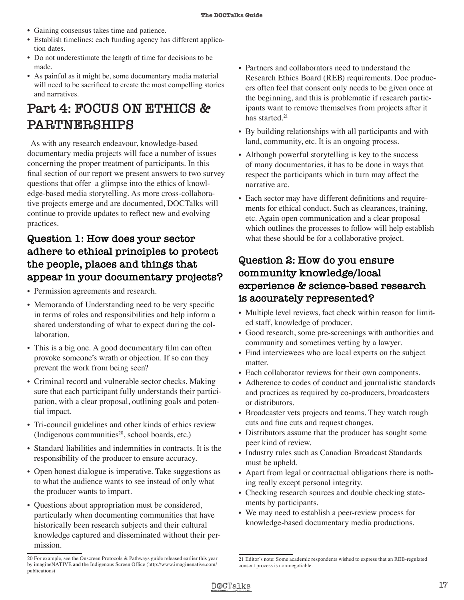- Gaining consensus takes time and patience.
- Establish timelines: each funding agency has different application dates.
- Do not underestimate the length of time for decisions to be made.
- As painful as it might be, some documentary media material will need to be sacrificed to create the most compelling stories and narratives.

# **Part 4: FOCUS ON ETHICS & PARTNERSHIPS**

As with any research endeavour, knowledge-based documentary media projects will face a number of issues concerning the proper treatment of participants. In this final section of our report we present answers to two survey questions that offer a glimpse into the ethics of knowledge-based media storytelling. As more cross-collaborative projects emerge and are documented, DOCTalks will continue to provide updates to reflect new and evolving practices.

### **Question 1: How does your sector adhere to ethical principles to protect the people, places and things that appear in your documentary projects?**

- Permission agreements and research.
- Memoranda of Understanding need to be very specific in terms of roles and responsibilities and help inform a shared understanding of what to expect during the collaboration.
- This is a big one. A good documentary film can often provoke someone's wrath or objection. If so can they prevent the work from being seen?
- Criminal record and vulnerable sector checks. Making sure that each participant fully understands their participation, with a clear proposal, outlining goals and potential impact.
- Tri-council guidelines and other kinds of ethics review (Indigenous communities $2<sup>0</sup>$ , school boards, etc.)
- Standard liabilities and indemnities in contracts. It is the responsibility of the producer to ensure accuracy.
- Open honest dialogue is imperative. Take suggestions as to what the audience wants to see instead of only what the producer wants to impart.
- Questions about appropriation must be considered, particularly when documenting communities that have historically been research subjects and their cultural knowledge captured and disseminated without their permission.
- Partners and collaborators need to understand the Research Ethics Board (REB) requirements. Doc producers often feel that consent only needs to be given once at the beginning, and this is problematic if research participants want to remove themselves from projects after it has started.<sup>21</sup>
- By building relationships with all participants and with land, community, etc. It is an ongoing process.
- Although powerful storytelling is key to the success of many documentaries, it has to be done in ways that respect the participants which in turn may affect the narrative arc.
- Each sector may have different definitions and requirements for ethical conduct. Such as clearances, training, etc. Again open communication and a clear proposal which outlines the processes to follow will help establish what these should be for a collaborative project.

#### **Question 2: How do you ensure community knowledge/local experience & science-based research is accurately represented?**

- Multiple level reviews, fact check within reason for limited staff, knowledge of producer.
- Good research, some pre-screenings with authorities and community and sometimes vetting by a lawyer.
- Find interviewees who are local experts on the subject matter.
- Each collaborator reviews for their own components.
- Adherence to codes of conduct and journalistic standards and practices as required by co-producers, broadcasters or distributors.
- Broadcaster vets projects and teams. They watch rough cuts and fine cuts and request changes.
- Distributors assume that the producer has sought some peer kind of review.
- Industry rules such as Canadian Broadcast Standards must be upheld.
- Apart from legal or contractual obligations there is nothing really except personal integrity.
- Checking research sources and double checking statements by participants.
- We may need to establish a peer-review process for knowledge-based documentary media productions.

<sup>21</sup> Editor's note: Some academic respondents wished to express that an REB-regulated consent process is non-negotiable.



<sup>20</sup> For example, see the Onscreen Protocols & Pathways guide released earlier this year by imagineNATIVE and the Indigenous Screen Office (http://www.imaginenative.com/ publications)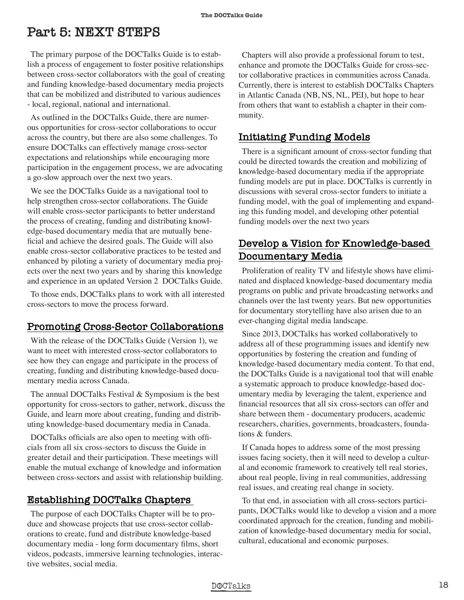# **Part 5: NEXT STEPS**

The primary purpose of the DOCTalks Guide is to establish a process of engagement to foster positive relationships between cross-sector collaborators with the goal of creating and funding knowledge-based documentary media projects that can be mobilized and distributed to various audiences - local, regional, national and international.

As outlined in the DOCTalks Guide, there are numerous opportunities for cross-sector collaborations to occur across the country, but there are also some challenges. To ensure DOCTalks can effectively manage cross-sector expectations and relationships while encouraging more participation in the engagement process, we are advocating a go-slow approach over the next two years.

We see the DOCTalks Guide as a navigational tool to help strengthen cross-sector collaborations. The Guide will enable cross-sector participants to better understand the process of creating, funding and distributing knowledge-based documentary media that are mutually beneficial and achieve the desired goals. The Guide will also enable cross-sector collaborative practices to be tested and enhanced by piloting a variety of documentary media projects over the next two years and by sharing this knowledge and experience in an updated Version 2 DOCTalks Guide.

To those ends, DOCTalks plans to work with all interested cross-sectors to move the process forward.

#### **Promoting Cross-Sector Collaborations**

With the release of the DOCTalks Guide (Version 1), we want to meet with interested cross-sector collaborators to see how they can engage and participate in the process of creating, funding and distributing knowledge-based documentary media across Canada.

The annual DOCTalks Festival & Symposium is the best opportunity for cross-sectors to gather, network, discuss the Guide, and learn more about creating, funding and distributing knowledge-based documentary media in Canada.

DOCTalks officials are also open to meeting with officials from all six cross-sectors to discuss the Guide in greater detail and their participation. These meetings will enable the mutual exchange of knowledge and information between cross-sectors and assist with relationship building.

#### **Establishing DOCTalks Chapters**

The purpose of each DOCTalks Chapter will be to produce and showcase projects that use cross-sector collaborations to create, fund and distribute knowledge-based documentary media - long form documentary films, short videos, podcasts, immersive learning technologies, interactive websites, social media.

Chapters will also provide a professional forum to test, enhance and promote the DOCTalks Guide for cross-sector collaborative practices in communities across Canada. Currently, there is interest to establish DOCTalks Chapters in Atlantic Canada (NB, NS, NL, PEI), but hope to hear from others that want to establish a chapter in their community.

#### **Initiating Funding Models**

There is a significant amount of cross-sector funding that could be directed towards the creation and mobilizing of knowledge-based documentary media if the appropriate funding models are put in place. DOCTalks is currently in discussions with several cross-sector funders to initiate a funding model, with the goal of implementing and expanding this funding model, and developing other potential funding models over the next two years

#### **Develop a Vision for Knowledge-based Documentary Media**

Proliferation of reality TV and lifestyle shows have eliminated and displaced knowledge-based documentary media programs on public and private broadcasting networks and channels over the last twenty years. But new opportunities for documentary storytelling have also arisen due to an ever-changing digital media landscape.

Since 2013, DOCTalks has worked collaboratively to address all of these programming issues and identify new opportunities by fostering the creation and funding of knowledge-based documentary media content. To that end, the DOCTalks Guide is a navigational tool that will enable a systematic approach to produce knowledge-based documentary media by leveraging the talent, experience and financial resources that all six cross-sectors can offer and share between them - documentary producers, academic researchers, charities, governments, broadcasters, foundations & funders.

If Canada hopes to address some of the most pressing issues facing society, then it will need to develop a cultural and economic framework to creatively tell real stories, about real people, living in real communities, addressing real issues, and creating real change in society.

To that end, in association with all cross-sectors participants, DOCTalks would like to develop a vision and a more coordinated approach for the creation, funding and mobilization of knowledge-based documentary media for social, cultural, educational and economic purposes.

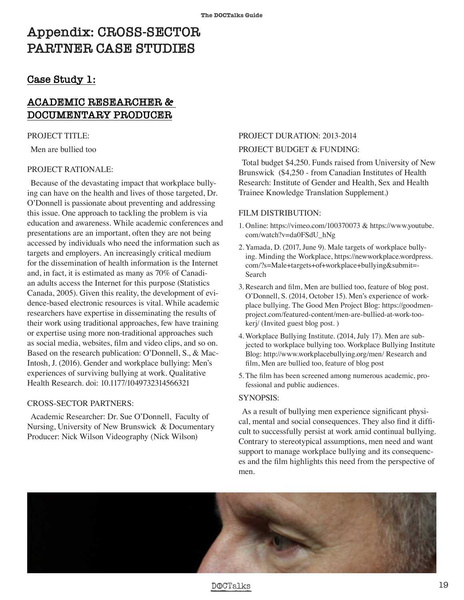# **Appendix: CROSS-SECTOR PARTNER CASE STUDIES**

#### **Case Study 1:**

#### **ACADEMIC RESEARCHER & DOCUMENTARY PRODUCER**

#### PROJECT TITLE:

Men are bullied too

#### PROJECT RATIONALE:

Because of the devastating impact that workplace bullying can have on the health and lives of those targeted, Dr. O'Donnell is passionate about preventing and addressing this issue. One approach to tackling the problem is via education and awareness. While academic conferences and presentations are an important, often they are not being accessed by individuals who need the information such as targets and employers. An increasingly critical medium for the dissemination of health information is the Internet and, in fact, it is estimated as many as 70% of Canadian adults access the Internet for this purpose (Statistics Canada, 2005). Given this reality, the development of evidence-based electronic resources is vital. While academic researchers have expertise in disseminating the results of their work using traditional approaches, few have training or expertise using more non-traditional approaches such as social media, websites, film and video clips, and so on. Based on the research publication: O'Donnell, S., & Mac-Intosh, J. (2016). Gender and workplace bullying: Men's experiences of surviving bullying at work. Qualitative Health Research. doi: 10.1177/1049732314566321

#### CROSS-SECTOR PARTNERS:

Academic Researcher: Dr. Sue O'Donnell, Faculty of Nursing, University of New Brunswick & Documentary Producer: Nick Wilson Videography (Nick Wilson)

#### PROJECT DURATION: 2013-2014

#### PROJECT BUDGET & FUNDING:

Total budget \$4,250. Funds raised from University of New Brunswick (\$4,250 - from Canadian Institutes of Health Research: Institute of Gender and Health, Sex and Health Trainee Knowledge Translation Supplement.)

#### FILM DISTRIBUTION:

- 1. Online: https://vimeo.com/100370073 & https://www.youtube. com/watch?v=da0FSdU\_hNg
- 2. Yamada, D. (2017, June 9). Male targets of workplace bullying. Minding the Workplace, https://newworkplace.wordpress. com/?s=Male+targets+of+workplace+bullying&submit=- Search
- 3. Research and film, Men are bullied too, feature of blog post. O'Donnell, S. (2014, October 15). Men's experience of workplace bullying. The Good Men Project Blog: https://goodmenproject.com/featured-content/men-are-bullied-at-work-tookerj/ (Invited guest blog post. )
- 4. Workplace Bullying Institute. (2014, July 17). Men are subjected to workplace bullying too. Workplace Bullying Institute Blog: http://www.workplacebullying.org/men/ Research and film, Men are bullied too, feature of blog post
- 5. The film has been screened among numerous academic, professional and public audiences.

#### SYNOPSIS:

As a result of bullying men experience significant physical, mental and social consequences. They also find it difficult to successfully persist at work amid continual bullying. Contrary to stereotypical assumptions, men need and want support to manage workplace bullying and its consequences and the film highlights this need from the perspective of men.



#### DOCTalks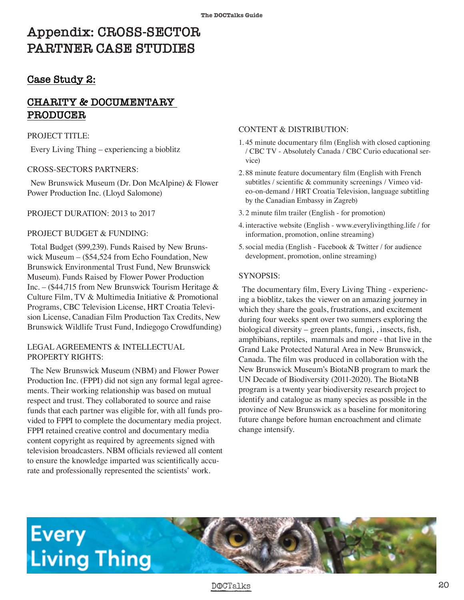# **Appendix: CROSS-SECTOR PARTNER CASE STUDIES**

#### **Case Study 2:**

#### **CHARITY & DOCUMENTARY PRODUCER**

#### PROJECT TITLE:

Every Living Thing – experiencing a bioblitz

#### CROSS-SECTORS PARTNERS:

New Brunswick Museum (Dr. Don McAlpine) & Flower Power Production Inc. (Lloyd Salomone)

PROJECT DURATION: 2013 to 2017

#### PROJECT BUDGET & FUNDING:

Total Budget (\$99,239). Funds Raised by New Brunswick Museum – (\$54,524 from Echo Foundation, New Brunswick Environmental Trust Fund, New Brunswick Museum). Funds Raised by Flower Power Production Inc. – (\$44,715 from New Brunswick Tourism Heritage & Culture Film, TV & Multimedia Initiative & Promotional Programs, CBC Television License, HRT Croatia Television License, Canadian Film Production Tax Credits, New Brunswick Wildlife Trust Fund, Indiegogo Crowdfunding)

#### LEGAL AGREEMENTS & INTELLECTUAL PROPERTY RIGHTS:

The New Brunswick Museum (NBM) and Flower Power Production Inc. (FPPI) did not sign any formal legal agreements. Their working relationship was based on mutual respect and trust. They collaborated to source and raise funds that each partner was eligible for, with all funds provided to FPPI to complete the documentary media project. FPPI retained creative control and documentary media content copyright as required by agreements signed with television broadcasters. NBM officials reviewed all content to ensure the knowledge imparted was scientifically accurate and professionally represented the scientists' work.

#### CONTENT & DISTRIBUTION:

- 1. 45 minute documentary film (English with closed captioning / CBC TV - Absolutely Canada / CBC Curio educational service)
- 2. 88 minute feature documentary film (English with French subtitles / scientific & community screenings / Vimeo video-on-demand / HRT Croatia Television, language subtitling by the Canadian Embassy in Zagreb)
- 3. 2 minute film trailer (English for promotion)
- 4. interactive website (English www.everylivingthing.life / for information, promotion, online streaming)
- 5. social media (English Facebook & Twitter / for audience development, promotion, online streaming)

#### SYNOPSIS:

The documentary film, Every Living Thing - experiencing a bioblitz, takes the viewer on an amazing journey in which they share the goals, frustrations, and excitement during four weeks spent over two summers exploring the biological diversity – green plants, fungi, , insects, fish, amphibians, reptiles, mammals and more - that live in the Grand Lake Protected Natural Area in New Brunswick, Canada. The film was produced in collaboration with the New Brunswick Museum's BiotaNB program to mark the UN Decade of Biodiversity (2011-2020). The BiotaNB program is a twenty year biodiversity research project to identify and catalogue as many species as possible in the province of New Brunswick as a baseline for monitoring future change before human encroachment and climate change intensify.



#### DOCTalks